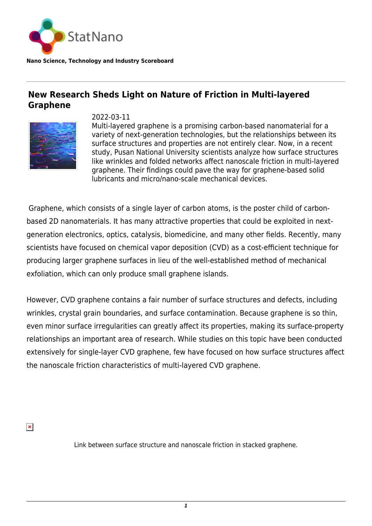

## **Nano Science, Technology and Industry Scoreboard**

## **New Research Sheds Light on Nature of Friction in Multi-layered Graphene**



2022-03-11

Multi-layered graphene is a promising carbon-based nanomaterial for a variety of next-generation technologies, but the relationships between its surface structures and properties are not entirely clear. Now, in a recent study, Pusan National University scientists analyze how surface structures like wrinkles and folded networks affect nanoscale friction in multi-layered graphene. Their findings could pave the way for graphene-based solid lubricants and micro/nano-scale mechanical devices.

 Graphene, which consists of a single layer of carbon atoms, is the poster child of carbonbased 2D nanomaterials. It has many attractive properties that could be exploited in nextgeneration electronics, optics, catalysis, biomedicine, and many other fields. Recently, many scientists have focused on chemical vapor deposition (CVD) as a cost-efficient technique for producing larger graphene surfaces in lieu of the well-established method of mechanical exfoliation, which can only produce small graphene islands.

However, CVD graphene contains a fair number of surface structures and defects, including wrinkles, crystal grain boundaries, and surface contamination. Because graphene is so thin, even minor surface irregularities can greatly affect its properties, making its surface-property relationships an important area of research. While studies on this topic have been conducted extensively for single-layer CVD graphene, few have focused on how surface structures affect the nanoscale friction characteristics of multi-layered CVD graphene.

 $\pmb{\times}$ 

Link between surface structure and nanoscale friction in stacked graphene.